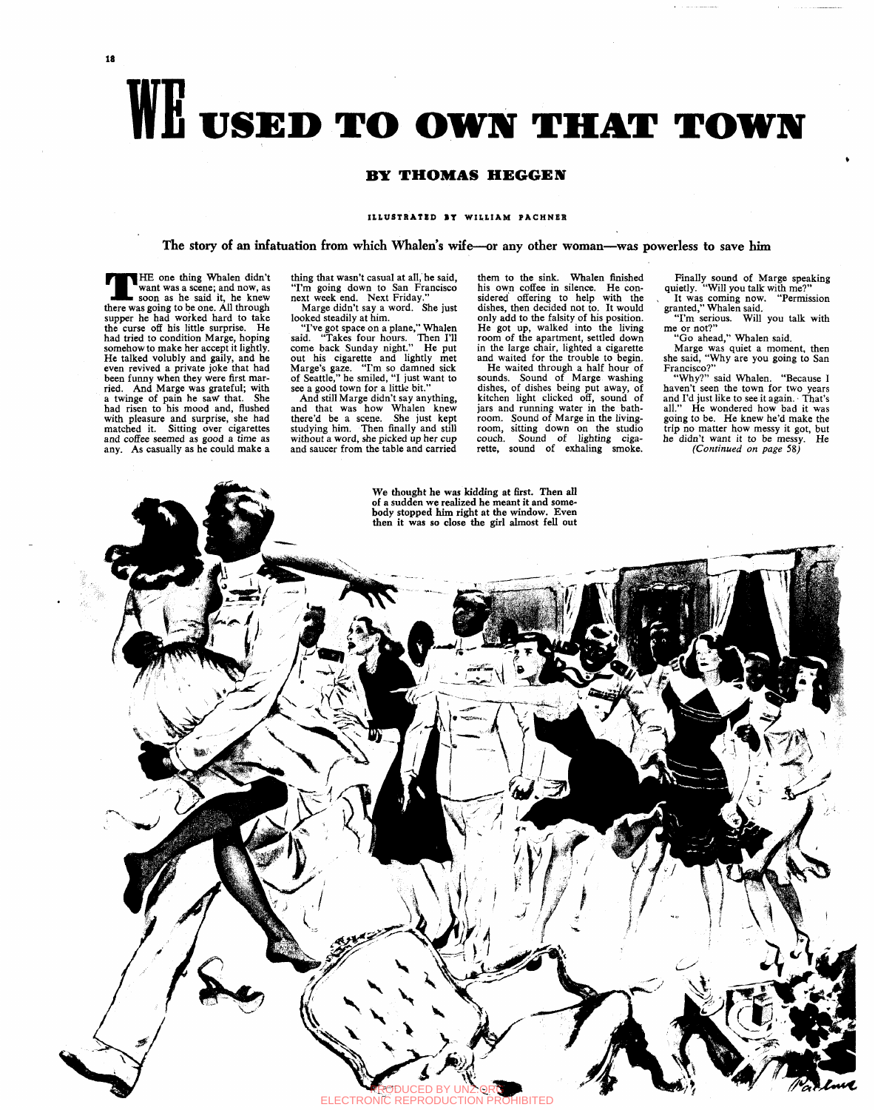18

# WE USED TO OWN THAT TOWN

# **BY THOMAS HEGGEN**

### **ILLUSTRATED IT WILLIAM PACHNER**

The story of an infatuation from which Whalen's wife—or any other woman—was powerless to save him

There was HE one thing Whalen didn't want was a scene; and now, as soon as he said it, he knew there was going to be one. All through supper he had worked hard to take the curse off his little surprise. He had tried to condition Marge, hoping somehow to make her accept it lightly. He talked volubly and gaily, and he even revived a private joke that had been funny when they were first married. And Marge was grateful; with a twinge of pain he *sayf* that. She had risen to his mood and, flushed with pleasure and surprise, she had matched it. Sitting over cigarettes and coffee seemed as good a time as any. As casually as he could make a

thing that wasn't casual at all, he said, "I'm going down to San Francisco next week end. Next Friday." Marge didn't say a word. She just looked steadily at him.

"I've got space on a plane," Whalen said. "Takes four hours. Then I'll come back Sunday night." He put out his cigarette and lightly met Marge's gaze. "I'm so damned sick of Seattle," he smiled, "I just want to see a good town for a little bit."

And still Marge didn't say anything, and that was how Whalen knew there'd be a scene. She just kept studying him. Then finally and still without a word, she picked up her cup and saucer from the table and carried

them to the sink. Whalen finished his own coffee in silence. He considered offering to help with the dishes, then decided not to. It would only add to the falsity of his position. He got up, walked into the living room of the apartment, settled down in the large chair, lighted a cigarette and waited for the trouble to begin.

He waited through a half hour of sounds. Sound of Marge washing dishes, of dishes being put away, of kitchen light clicked off, sound of jars and running water in the bathroom. Sound of Marge in the livingroom, sitting down on the studio couch. Sound of lighting cigarette, sound of exhaling smoke.

Finally sound of Marge speaking quietly. "Will you talk with me?" It was coming now. "Permission

granted," Whalen said. "I'm serious. Will you talk with me or not?"

"Go ahead," Whalen said.

Marge was quiet a moment, then she said, "Why are you going to San Francisco?"

"Why?" said Whalen. "Because I haven't seen the town for two years and I'd just like to see it again. • That's all." He wondered how bad it was going to be. He knew he'd make the trip no matter how messy it got, but he didn't want it to be messy. He *(Continued on page* 58j